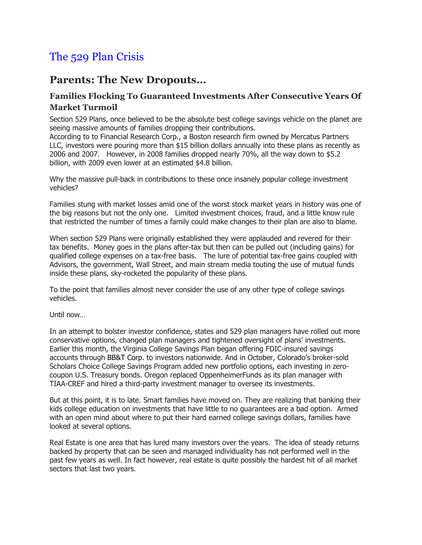## The 529 Plan Crisis

## **Parents: The New Dropouts…**

## **Families Flocking To Guaranteed Investments After Consecutive Years Of Market Turmoil**

Section 529 Plans, once believed to be the absolute best college savings vehicle on the planet are seeing massive amounts of families dropping their contributions.

According to to Financial Research Corp., a Boston research firm owned by Mercatus Partners LLC, investors were pouring more than \$15 billion dollars annually into these plans as recently as 2006 and 2007. However, in 2008 families dropped nearly 70%, all the way down to \$5.2 billion, with 2009 even lower at an estimated \$4.8 billion.

Why the massive pull-back in contributions to these once insanely popular college investment vehicles?

Families stung with market losses amid one of the worst stock market years in history was one of the big reasons but not the only one. Limited investment choices, fraud, and a little know rule that restricted the number of times a family could make changes to their plan are also to blame.

When section 529 Plans were originally established they were applauded and revered for their tax benefits. Money goes in the plans after-tax but then can be pulled out (including gains) for qualified college expenses on a tax-free basis. The lure of potential tax-free gains coupled with Advisors, the government, Wall Street, and main stream media touting the use of mutual funds inside these plans, sky-rocketed the popularity of these plans.

To the point that families almost never consider the use of any other type of college savings vehicles.

Until now…

In an attempt to bolster investor confidence, states and 529 plan managers have rolled out more conservative options, changed plan managers and tightened oversight of plans' investments. Earlier this month, the Virginia College Savings Plan began offering FDIC-insured savings accounts through BB&T Corp. to investors nationwide. And in October, Colorado's broker-sold Scholars Choice College Savings Program added new portfolio options, each investing in zerocoupon U.S. Treasury bonds. Oregon replaced OppenheimerFunds as its plan manager with TIAA-CREF and hired a third-party investment manager to oversee its investments.

But at this point, it is to late. Smart families have moved on. They are realizing that banking their kids college education on investments that have little to no guarantees are a bad option. Armed with an open mind about where to put their hard earned college savings dollars, families have looked at several options.

Real Estate is one area that has lured many investors over the years. The idea of steady returns backed by property that can be seen and managed individuality has not performed well in the past few years as well. In fact however, real estate is quite possibly the hardest hit of all market sectors that last two years.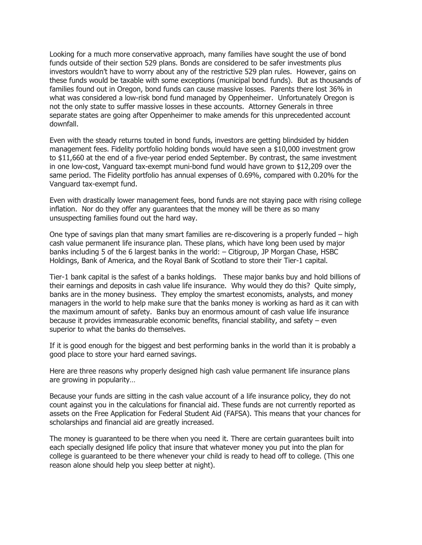Looking for a much more conservative approach, many families have sought the use of bond funds outside of their section 529 plans. Bonds are considered to be safer investments plus investors wouldn't have to worry about any of the restrictive 529 plan rules. However, gains on these funds would be taxable with some exceptions (municipal bond funds). But as thousands of families found out in Oregon, bond funds can cause massive losses. Parents there lost 36% in what was considered a low-risk bond fund managed by Oppenheimer. Unfortunately Oregon is not the only state to suffer massive losses in these accounts. Attorney Generals in three separate states are going after Oppenheimer to make amends for this unprecedented account downfall.

Even with the steady returns touted in bond funds, investors are getting blindsided by hidden management fees. Fidelity portfolio holding bonds would have seen a \$10,000 investment grow to \$11,660 at the end of a five-year period ended September. By contrast, the same investment in one low-cost, Vanguard tax-exempt muni-bond fund would have grown to \$12,209 over the same period. The Fidelity portfolio has annual expenses of 0.69%, compared with 0.20% for the Vanguard tax-exempt fund.

Even with drastically lower management fees, bond funds are not staying pace with rising college inflation. Nor do they offer any guarantees that the money will be there as so many unsuspecting families found out the hard way.

One type of savings plan that many smart families are re-discovering is a properly funded – high cash value permanent life insurance plan. These plans, which have long been used by major banks including 5 of the 6 largest banks in the world: – Citigroup, JP Morgan Chase, HSBC Holdings, Bank of America, and the Royal Bank of Scotland to store their Tier-1 capital.

Tier-1 bank capital is the safest of a banks holdings. These major banks buy and hold billions of their earnings and deposits in cash value life insurance. Why would they do this? Quite simply, banks are in the money business. They employ the smartest economists, analysts, and money managers in the world to help make sure that the banks money is working as hard as it can with the maximum amount of safety. Banks buy an enormous amount of cash value life insurance because it provides immeasurable economic benefits, financial stability, and safety – even superior to what the banks do themselves.

If it is good enough for the biggest and best performing banks in the world than it is probably a good place to store your hard earned savings.

Here are three reasons why properly designed high cash value permanent life insurance plans are growing in popularity…

Because your funds are sitting in the cash value account of a life insurance policy, they do not count against you in the calculations for financial aid. These funds are not currently reported as assets on the Free Application for Federal Student Aid (FAFSA). This means that your chances for scholarships and financial aid are greatly increased.

The money is guaranteed to be there when you need it. There are certain guarantees built into each specially designed life policy that insure that whatever money you put into the plan for college is guaranteed to be there whenever your child is ready to head off to college. (This one reason alone should help you sleep better at night).